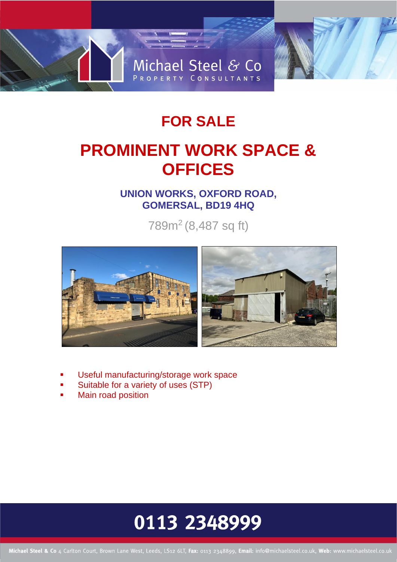

## **FOR SALE**

# **PROMINENT WORK SPACE & OFFICES**

### **UNION WORKS, OXFORD ROAD, GOMERSAL, BD19 4HQ**

789m<sup>2</sup> (8,487 sq ft)



- Useful manufacturing/storage work space
- Suitable for a variety of uses (STP)
- **Main road position**

# 0113 2348999

Michael Steel & Co 4 Carlton Court, Brown Lane West, Leeds, LS12 6LT, Fax: 0113 2348899, Email: info@michaelsteel.co.uk, Web: www.michaelsteel.co.uk